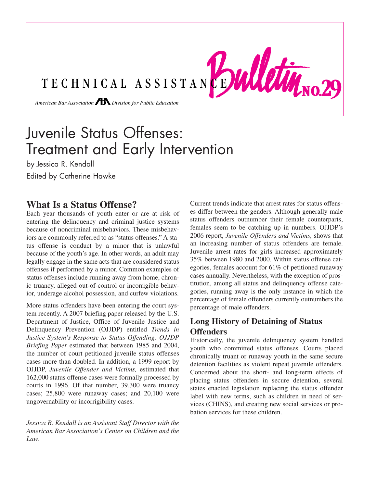TECHNICAL ASSISTANCE WULKWIND.29 *American Bar Association Division for Public Education* 

# Juvenile Status Offenses: Treatment and Early Intervention

by Jessica R. Kendall *merican Bar Association Division for Public Education*

Edited by Catherine Hawke

## **What Is a Status Offense?**

Each year thousands of youth enter or are at risk of Each year thousands of youth enter or are at risk of the delinquency and criminal justice systems status offend because of noncriminal misbehaviors. These misbehaviors are commonly referred to as "status offenses." A status offense is conduct by a minor that is unlawful because of the youth's age. In other words, an adult may legally engage in the same acts that are considered status offenses if performed by a minor. Common examples of status offenses include running away from home, chron-*American Barning and Division Forming and Division Forming*, *American* Bar Association *Division Control* or *incorrigible behav*ior, underage alcohol possession, and curfew violations.

More status offenders have been entering the court system recently. A 2007 briefing paper released by the U.S. Department of Justice, Office of Juvenile Justice and Delinquency Prevention (OJJDP) entitled *Trends in Justice System's Response to Status Offending: OJJDP Briefing Paper* estimated that between 1985 and 2004, the number of court petitioned juvenile status offenses cases more than doubled. In addition, a 1999 report by OJJDP, *Juvenile Offender and Victims,* estimated that 162,000 status offense cases were formally processed by courts in 1996. Of that number, 39,300 were truancy cases; 25,800 were runaway cases; and 20,100 were ungovernability or incorrigibility cases.

*Jessica R. Kendall is an Assistant Staff Director with the American Bar Association's Center on Children and the Law.*

Current trends indicate that arrest rates for status offenses differ between the genders. Although generally male status offenders outnumber their female counterparts, females seem to be catching up in numbers. OJJDP's 2006 report, *Juvenile Offenders and Victims,* shows that an increasing number of status offenders are female.<br>Juvenile arrest rates for girls increased approximately<br>35% between 1980 and 2000. Within status offense cat-<br>egories, females account for 61% of petitioned runaway Juvenile arrest rates for girls increased approximately 35% between 1980 and 2000. Within status offense categories, females account for 61% of petitioned runaway cases annually. Nevertheless, with the exception of prostitution, among all status and delinquency offense categories, running away is the only instance in which the percentage of female offenders currently outnumbers the percentage of male offenders.

### **Long History of Detaining of Status Offenders**

Historically, the juvenile delinquency system handled youth who committed status offenses. Courts placed chronically truant or runaway youth in the same secure detention facilities as violent repeat juvenile offenders. Concerned about the short- and long-term effects of placing status offenders in secure detention, several states enacted legislation replacing the status offender label with new terms, such as children in need of services (CHINS), and creating new social services or probation services for these children.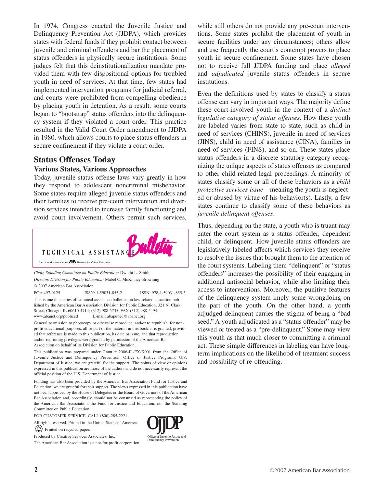In 1974, Congress enacted the Juvenile Justice and Delinquency Prevention Act (JJDPA), which provides states with federal funds if they prohibit contact between juvenile and criminal offenders and bar the placement of status offenders in physically secure institutions. Some judges felt that this deinstitutionalization mandate provided them with few dispositional options for troubled youth in need of services. At that time, few states had implemented intervention programs for judicial referral, and courts were prohibited from compelling obedience by placing youth in detention. As a result, some courts began to "bootstrap" status offenders into the delinquency system if they violated a court order. This practice resulted in the Valid Court Order amendment to JJDPA in 1980, which allows courts to place status offenders in secure confinement if they violate a court order.

### **Status Offenses Today**

#### **Various States, Various Approaches**

Today, juvenile status offense laws vary greatly in how to other child-rel they respond to adolescent noncriminal misbehavior. Some states require alleged juvenile status offenders and their families to receive pre-court intervention and diversion services intended to increase family functioning and avoid court involvement. Others permit such services,



*Chair, Standing Committee on Public Education:* Dwight L. Smith *Director, Division for Public Education:* Mabel C. McKinney-Browning © 2007 American Bar Association

PC # 497-0125 ISSN: 1-59031-855-2 ISSN: 978-1-59031-855-3 This is one in a series of technical assistance bulletins on law-related education published by the American Bar Association Division for Public Education, 321 N. Clark Street, Chicago, IL 60610-4714; (312) 988-5735, FAX (312) 988-5494. www.abanet.org/publiced E-mail: abapubed@abanet.org

General permission to photocopy or otherwise reproduce, and/or to republish, for nonprofit educational purposes, all or part of the material in this booklet is granted, provided that reference is made to this publication, its date or issue, and that reproduction and/or reprinting privileges were granted by permission of the American Bar Association on behalf of its Division for Public Education. banet.org/publiced E-mail: abapubed@abanet.org and and and all paramission to photocopy or otherwise reproduce, and/or to republish, for non-<br>I permission to photocopy or otherwise reproduce, and/or to republish, for non-<br>

This publication was prepared under Grant # 2006-JL-FX-K001 from the Office of Juvenile Justice and Delinquency Prevention, Office of Justice Programs, U.S. Department of Justice; we are grateful for the support. The points of view or opinions expressed in this publication are those of the authors and do not necessarily represent the official position of the U.S. Department of Justice.

Funding has also been provided by the American Bar Association Fund for Justice and Education; we are grateful for their support. The views expressed in this publication have not been approved by the House of Delegates or the Board of Governors of the American Bar Association and, accordingly, should not be construed as representing the policy of the American Bar Association, the Fund for Justice and Education, nor the Standing Committee on Public Education.

FOR CUSTOMER SERVICE, CALL (800) 285-2221.

All rights reserved. Printed in the United States of America.

 $\overleftrightarrow{Q}$  Printed on recycled paper.

Produced by Creative Services Associates, Inc.

The American Bar Association is a not-for-profit corporation.



while still others do not provide any pre-court interventions. Some states prohibit the placement of youth in secure facilities under any circumstances; others allow and use frequently the court's contempt powers to place youth in secure confinement. Some states have chosen not to receive full JJDPA funding and place *alleged* and *adjudicated* juvenile status offenders in secure institutions.

Even the definitions used by states to classify a status offense can vary in important ways. The majority define these court-involved youth in the context of a *distinct legislative category of status offenses.* How these youth are labeled varies from state to state, such as child in need of services (CHINS), juvenile in need of services (JINS), child in need of assistance (CINA), families in need of services (FINS), and so on. These states place status offenders in a discrete statutory category recognizing the unique aspects of status offenses as compared to other child-related legal proceedings. A minority of states classify some or all of these behaviors as a *child*<br>states classify some or all of these behaviors as a *child*<br>notestive services issue meaning the youth is neglect *protective services issue*—meaning the youth is neglected or abused by virtue of his behavior(s). Lastly, a few states continue to classify some of these behaviors as *juvenile delinquent offenses*.

Thus, depending on the state, a youth who is truant may enter the court system as a status offender, dependent child, or delinquent. How juvenile status offenders are legislatively labeled affects which services they receive to resolve the issues that brought them to the attention of the court systems. Labeling them "delinquent" or "status offenders" increases the possibility of their engaging in additional antisocial behavior, while also limiting their access to interventions. Moreover, the punitive features of the delinquency system imply some wrongdoing on the part of the youth. On the other hand, a youth adjudged delinquent carries the stigma of being a "bad seed." A youth adjudicated as a "status offender" may be viewed or treated as a "pre-delinquent." Some may view this youth as that much closer to committing a criminal act. These simple differences in labeling can have longterm implications on the likelihood of treatment success and possibility of re-offending. nces in labeling can<br>likelihood of treatme<br>nding.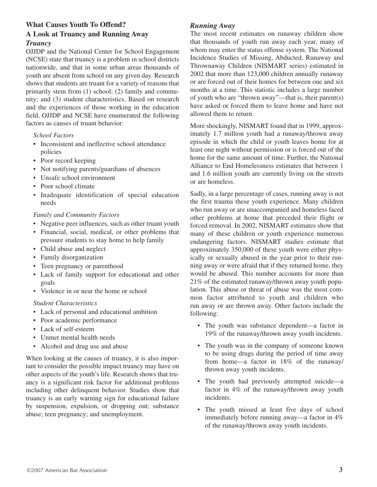### **What Causes Youth To Offend? A Look at Truancy and Running Away** *Truancy*

OJJDP and the National Center for School Engagement (NCSE) state that truancy is a problem in school districts nationwide, and that in some urban areas thousands of youth are absent from school on any given day. Research shows that students are truant for a variety of reasons that primarily stem from (1) school; (2) family and community; and (3) student characteristics. Based on research and the experiences of those working in the education field, OJJDP and NCSE have enumerated the following

*School Factors*

- Inconsistent and ineffective school attendance policies
- Poor record keeping
- Not notifying parents/guardians of absences
- Unsafe school environment

factors as causes of truant behavior:

- Poor school climate
- Inadequate identification of special education needs

#### *Family and Community Factors*

- Negative peer influences, such as other truant youth
- Financial, social, medical, or other problems that pressure students to stay home to help family
- Child abuse and neglect
- Family disorganization
- Teen pregnancy or parenthood
- Lack of family support for educational and other goals
- Violence in or near the home or school

#### *Student Characteristics*

- Lack of personal and educational ambition
- Poor academic performance
- Lack of self-esteem
- Unmet mental health needs
- Alcohol and drug use and abuse

When looking at the causes of truancy, it is also important to consider the possible impact truancy may have on other aspects of the youth's life. Research shows that truancy is a significant risk factor for additional problems including other delinquent behavior. Studies show that truancy is an early warning sign for educational failure by suspension, expulsion, or dropping out; substance abuse; teen pregnancy; and unemployment.

### *Running Away*

The most recent estimates on runaway children show that thousands of youth run away each year, many of whom may enter the status offense system. The National Incidence Studies of Missing, Abducted, Runaway and Thrownaway Children (NISMART series) estimated in 2002 that more than 123,000 children annually runaway or are forced out of their homes for between one and six months at a time. This statistic includes a large number of youth who are "thrown away"—that is, their parent(s) have asked or forced them to leave home and have not allowed them to return.

More shockingly, NISMART found that in 1999, approximately 1.7 million youth had a runaway/thrown away episode in which the child or youth leaves home for at least one night without permission or is forced out of the home for the same amount of time. Further, the National Alliance to End Homelessness estimates that between 1 and 1.6 million youth are currently living on the streets or are homeless.

Sadly, in a large percentage of cases, running away is not the first trauma these youth experience. Many children who run away or are unaccompanied and homeless faced other problems at home that preceded their flight or forced removal. In 2002, NISMART estimates show that many of these children or youth experience numerous endangering factors. NISMART studies estimate that approximately 350,000 of these youth were either physically or sexually abused in the year prior to their running away or were afraid that if they returned home, they would be abused. This number accounts for more than 21% of the estimated runaway/thrown away youth population. This abuse or threat of abuse was the most common factor attributed to youth and children who run away or are thrown away. Other factors include the following:

- The youth was substance dependent—a factor in 19% of the runaway/thrown away youth incidents.
- The youth was in the company of someone known to be using drugs during the period of time away from home—a factor in 18% of the runaway/ thrown away youth incidents.
- The youth had previously attempted suicide—a factor in 4% of the runaway/thrown away youth incidents.
- The youth missed at least five days of school immediately before running away—a factor in 4% of the runaway/thrown away youth incidents.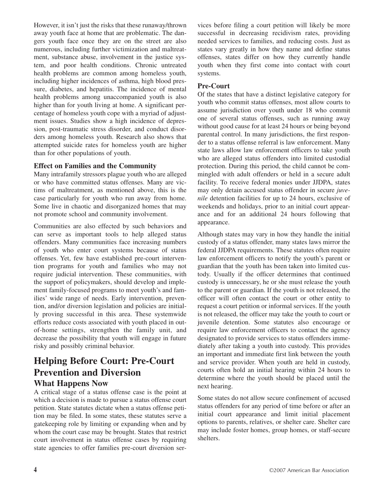However, it isn't just the risks that these runaway/thrown away youth face at home that are problematic. The dangers youth face once they are on the street are also numerous, including further victimization and maltreatment, substance abuse, involvement in the justice system, and poor health conditions. Chronic untreated health problems are common among homeless youth, including higher incidences of asthma, high blood pressure, diabetes, and hepatitis. The incidence of mental health problems among unaccompanied youth is also higher than for youth living at home. A significant percentage of homeless youth cope with a myriad of adjustment issues. Studies show a high incidence of depression, post-traumatic stress disorder, and conduct disorders among homeless youth. Research also shows that attempted suicide rates for homeless youth are higher than for other populations of youth.

### **Effect on Families and the Community**

Many intrafamily stressors plague youth who are alleged or who have committed status offenses. Many are victims of maltreatment, as mentioned above, this is the case particularly for youth who run away from home. Some live in chaotic and disorganized homes that may not promote school and community involvement.

Communities are also effected by such behaviors and can serve as important tools to help alleged status offenders. Many communities face increasing numbers of youth who enter court systems because of status offenses. Yet, few have established pre-court intervention programs for youth and families who may not require judicial intervention. These communities, with the support of policymakers, should develop and implement family-focused programs to meet youth's and families' wide range of needs. Early intervention, prevention, and/or diversion legislation and policies are initially proving successful in this area. These systemwide efforts reduce costs associated with youth placed in outof-home settings, strengthen the family unit, and decrease the possibility that youth will engage in future risky and possibly criminal behavior.

# **Helping Before Court: Pre-Court Prevention and Diversion What Happens Now**

A critical stage of a status offense case is the point at which a decision is made to pursue a status offense court petition. State statutes dictate when a status offense petition may be filed. In some states, these statutes serve a gatekeeping role by limiting or expanding when and by whom the court case may be brought. States that restrict court involvement in status offense cases by requiring state agencies to offer families pre-court diversion services before filing a court petition will likely be more successful in decreasing recidivism rates, providing needed services to families, and reducing costs. Just as states vary greatly in how they name and define status offenses, states differ on how they currently handle youth when they first come into contact with court systems.

### **Pre-Court**

Of the states that have a distinct legislative category for youth who commit status offenses, most allow courts to assume jurisdiction over youth under 18 who commit one of several status offenses, such as running away without good cause for at least 24 hours or being beyond parental control. In many jurisdictions, the first responder to a status offense referral is law enforcement. Many state laws allow law enforcement officers to take youth who are alleged status offenders into limited custodial protection. During this period, the child cannot be commingled with adult offenders or held in a secure adult facility. To receive federal monies under JJDPA, states may only detain accused status offender in secure *juvenile* detention facilities for up to 24 hours, exclusive of weekends and holidays, prior to an initial court appearance and for an additional 24 hours following that appearance.

Although states may vary in how they handle the initial custody of a status offender, many states laws mirror the federal JJDPA requirements. These statutes often require law enforcement officers to notify the youth's parent or guardian that the youth has been taken into limited custody. Usually if the officer determines that continued custody is unnecessary, he or she must release the youth to the parent or guardian. If the youth is not released, the officer will often contact the court or other entity to request a court petition or informal services. If the youth is not released, the officer may take the youth to court or juvenile detention. Some statutes also encourage or require law enforcement officers to contact the agency designated to provide services to status offenders immediately after taking a youth into custody. This provides an important and immediate first link between the youth and service provider. When youth are held in custody, courts often hold an initial hearing within 24 hours to determine where the youth should be placed until the next hearing.

Some states do not allow secure confinement of accused status offenders for any period of time before or after an initial court appearance and limit initial placement options to parents, relatives, or shelter care. Shelter care may include foster homes, group homes, or staff-secure shelters.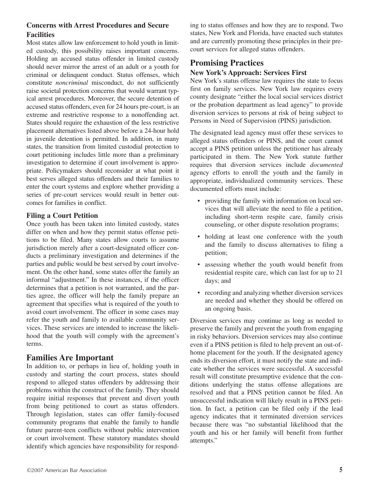### **Concerns with Arrest Procedures and Secure Facilities**

Most states allow law enforcement to hold youth in limited custody, this possibility raises important concerns. Holding an accused status offender in limited custody should never mirror the arrest of an adult or a youth for criminal or delinquent conduct. Status offenses, which constitute *noncriminal* misconduct, do not sufficiently raise societal protection concerns that would warrant typical arrest procedures. Moreover, the secure detention of accused status offenders, even for 24 hours pre-court, is an extreme and restrictive response to a nonoffending act. States should require the exhaustion of the less restrictive placement alternatives listed above before a 24-hour hold in juvenile detention is permitted. In addition, in many states, the transition from limited custodial protection to court petitioning includes little more than a preliminary investigation to determine if court involvement is appropriate. Policymakers should reconsider at what point it best serves alleged status offenders and their families to enter the court systems and explore whether providing a series of pre-court services would result in better outcomes for families in conflict.

### **Filing a Court Petition**

Once youth has been taken into limited custody, states differ on when and how they permit status offense petitions to be filed. Many states allow courts to assume jurisdiction merely after a court-designated officer conducts a preliminary investigation and determines if the parties and public would be best served by court involvement. On the other hand, some states offer the family an informal "adjustment." In these instances, if the officer determines that a petition is not warranted, and the parties agree, the officer will help the family prepare an agreement that specifies what is required of the youth to avoid court involvement. The officer in some cases may refer the youth and family to available community services. These services are intended to increase the likelihood that the youth will comply with the agreement's terms.

### **Families Are Important**

In addition to, or perhaps in lieu of, holding youth in custody and starting the court process, states should respond to alleged status offenders by addressing their problems within the construct of the family. They should require initial responses that prevent and divert youth from being petitioned to court as status offenders. Through legislation, states can offer family-focused community programs that enable the family to handle future parent-teen conflicts without public intervention or court involvement. These statutory mandates should identify which agencies have responsibility for responding to status offenses and how they are to respond. Two states, New York and Florida, have enacted such statutes and are currently promoting these principles in their precourt services for alleged status offenders.

### **Promising Practices**

### **New York's Approach: Services First**

New York's status offense law requires the state to focus first on family services. New York law requires every county designate "either the local social services district or the probation department as lead agency" to provide diversion services to persons at risk of being subject to Persons in Need of Supervision (PINS) jurisdiction.

The designated lead agency must offer these services to alleged status offenders or PINS, and the court cannot accept a PINS petition unless the petitioner has already participated in them. The New York statute further requires that diversion services include *documented* agency efforts to enroll the youth and the family in appropriate, individualized community services. These documented efforts must include:

- providing the family with information on local services that will alleviate the need to file a petition, including short-term respite care, family crisis counseling, or other dispute resolution programs;
- holding at least one conference with the youth and the family to discuss alternatives to filing a petition;
- assessing whether the youth would benefit from residential respite care, which can last for up to 21 days; and
- recording and analyzing whether diversion services are needed and whether they should be offered on an ongoing basis.

Diversion services may continue as long as needed to preserve the family and prevent the youth from engaging in risky behaviors. Diversion services may also continue even if a PINS petition is filed to help prevent an out-ofhome placement for the youth. If the designated agency ends its diversion effort, it must notify the state and indicate whether the services were successful. A successful result will constitute presumptive evidence that the conditions underlying the status offense allegations are resolved and that a PINS petition cannot be filed. An unsuccessful indication will likely result in a PINS petition. In fact, a petition can be filed only if the lead agency indicates that it terminated diversion services because there was "no substantial likelihood that the youth and his or her family will benefit from further attempts."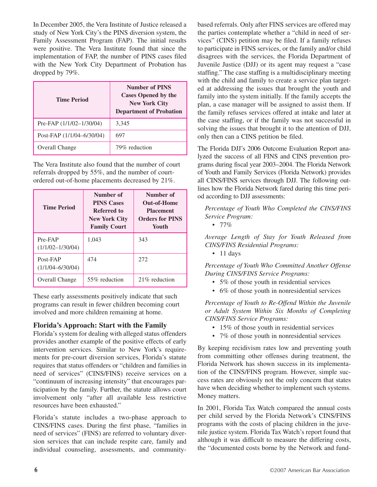In December 2005, the Vera Institute of Justice released a study of New York City's the PINS diversion system, the Family Assessment Program (FAP). The initial results were positive. The Vera Institute found that since the implementation of FAP, the number of PINS cases filed with the New York City Department of Probation has dropped by 79%.

| <b>Time Period</b>         | <b>Number of PINS</b><br><b>Cases Opened by the</b><br><b>New York City</b><br><b>Department of Probation</b> |
|----------------------------|---------------------------------------------------------------------------------------------------------------|
| Pre-FAP $(1/1/02-1/30/04)$ | 3,345                                                                                                         |
| Post-FAP (1/1/04–6/30/04)  | 697                                                                                                           |
| Overall Change             | 79% reduction                                                                                                 |

The Vera Institute also found that the number of court referrals dropped by 55%, and the number of courtordered out-of-home placements decreased by 21%.

| <b>Time Period</b>               | Number of<br><b>PINS Cases</b><br>Referred to<br><b>New York City</b><br><b>Family Court</b> | Number of<br><b>Out-of-Home</b><br><b>Placement</b><br><b>Orders for PINS</b><br>Youth |
|----------------------------------|----------------------------------------------------------------------------------------------|----------------------------------------------------------------------------------------|
| Pre-FAP<br>$(1/1/02 - 1/30/04)$  | 1,043                                                                                        | 343                                                                                    |
| Post-FAP<br>$(1/1/04 - 6/30/04)$ | 474                                                                                          | 272                                                                                    |
| <b>Overall Change</b>            | 55% reduction                                                                                | 21\% reduction                                                                         |

These early assessments positively indicate that such programs can result in fewer children becoming court involved and more children remaining at home.

### **Florida's Approach: Start with the Family**

Florida's system for dealing with alleged status offenders provides another example of the positive effects of early intervention services. Similar to New York's requirements for pre-court diversion services, Florida's statute requires that status offenders or "children and families in need of services" (CINS/FINS) receive services on a "continuum of increasing intensity" that encourages participation by the family. Further, the statute allows court involvement only "after all available less restrictive resources have been exhausted."

Florida's statute includes a two-phase approach to CINS/FINS cases. During the first phase, "families in need of services" (FINS) are referred to voluntary diversion services that can include respite care, family and individual counseling, assessments, and communitybased referrals. Only after FINS services are offered may the parties contemplate whether a "child in need of services" (CINS) petition may be filed. If a family refuses to participate in FINS services, or the family and/or child disagrees with the services, the Florida Department of Juvenile Justice (DJJ) or its agent may request a "case staffing." The case staffing is a multidisciplinary meeting with the child and family to create a service plan targeted at addressing the issues that brought the youth and family into the system initially. If the family accepts the plan, a case manager will be assigned to assist them. If the family refuses services offered at intake and later at the case staffing, or if the family was not successful in solving the issues that brought it to the attention of DJJ, only then can a CINS petition be filed.

The Florida DJJ's 2006 Outcome Evaluation Report analyzed the success of all FINS and CINS prevention programs during fiscal year 2003–2004. The Florida Network of Youth and Family Services (Florida Network) provides all CINS/FINS services through DJJ. The following outlines how the Florida Network fared during this time period according to DJJ assessments:

*Percentage of Youth Who Completed the CINS/FINS Service Program:*

• 77%

*Average Length of Stay for Youth Released from CINS/FINS Residential Programs:*

• 11 days

*Percentage of Youth Who Committed Another Offense During CINS/FINS Service Programs:*

- 5% of those youth in residential services
- 6% of those youth in nonresidential services

*Percentage of Youth to Re-Offend Within the Juvenile or Adult System Within Six Months of Completing CINS/FINS Service Programs:*

- 15% of those youth in residential services
- 7% of those youth in nonresidential services

By keeping recidivism rates low and preventing youth from committing other offenses during treatment, the Florida Network has shown success in its implementation of the CINS/FINS program. However, simple success rates are obviously not the only concern that states have when deciding whether to implement such systems. Money matters.

In 2001, Florida Tax Watch compared the annual costs per child served by the Florida Network's CINS/FINS programs with the costs of placing children in the juvenile justice system. Florida Tax Watch's report found that although it was difficult to measure the differing costs, the "documented costs borne by the Network and fund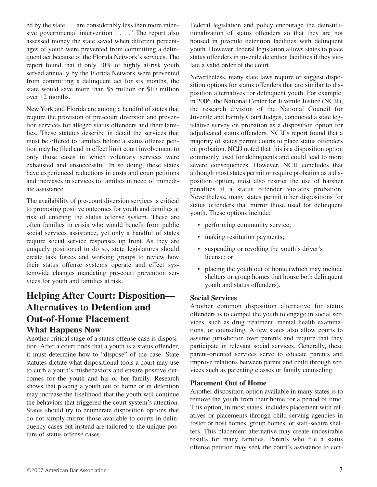ed by the state . . . are considerably less than more intensive governmental intervention . . . ." The report also assessed money the state saved when different percentages of youth were prevented from committing a delinquent act because of the Florida Network's services. The report found that if only 10% of highly at-risk youth served annually by the Florida Network were prevented from committing a delinquent act for six months, the state would save more than \$5 million or \$10 million over 12 months.

New York and Florida are among a handful of states that require the provision of pre-court diversion and prevention services for alleged status offenders and their families. These statutes describe in detail the services that must be offered to families before a status offense petition may be filed and in effect limit court involvement to only those cases in which voluntary services were exhausted and unsuccessful. In so doing, these states have experienced reductions in costs and court petitions and increases in services to families in need of immediate assistance.

The availability of pre-court diversion services is critical to promoting positive outcomes for youth and families at risk of entering the status offense system. These are often families in crisis who would benefit from public social services assistance, yet only a handful of states require social service responses up front. As they are uniquely positioned to do so, state legislatures should create task forces and working groups to review how their status offense systems operate and effect systemwide changes mandating pre-court prevention services for youth and families at risk.

# **Helping After Court: Disposition— Alternatives to Detention and Out-of-Home Placement What Happens Now**

Another critical stage of a status offense case is disposition. After a court finds that a youth is a status offender, it must determine how to "dispose" of the case. State statutes dictate what dispositional tools a court may use to curb a youth's misbehaviors and ensure positive outcomes for the youth and his or her family. Research shows that placing a youth out of home or in detention may increase the likelihood that the youth will continue the behaviors that triggered the court system's attention. States should try to enumerate disposition options that do not simply mirror those available to courts in delinquency cases but instead are tailored to the unique posture of status offense cases.

Federal legislation and policy encourage the deinstitutionalization of status offenders so that they are not housed in juvenile detention facilities with delinquent youth. However, federal legislation allows states to place status offenders in juvenile detention facilities if they violate a valid order of the court.

Nevertheless, many state laws require or suggest disposition options for status offenders that are similar to disposition alternatives for delinquent youth. For example, in 2006, the National Center for Juvenile Justice (NCJJ), the research division of the National Council for Juvenile and Family Court Judges, conducted a state legislative survey on probation as a disposition option for adjudicated status offenders. NCJJ's report found that a majority of states permit courts to place status offenders on probation. NCJJ noted that this is a disposition option commonly used for delinquents and could lead to more severe consequences. However, NCJJ concludes that although most states permit or require probation as a disposition option, most also restrict the use of harsher penalties if a status offender violates probation. Nevertheless, many states permit other dispositions for status offenders that mirror those used for delinquent youth. These options include:

- performing community service;
- making restitution payments;
- suspending or revoking the youth's driver's license; or
- placing the youth out of home (which may include shelters or group homes that house both delinquent youth and status offenders).

#### **Social Services**

Another common disposition alternative for status offenders is to compel the youth to engage in social services, such as drug treatment, mental health examinations, or counseling. A few states also allow courts to assume jurisdiction over parents and require that they participate in relevant social services. Generally, these parent-oriented services serve to educate parents and improve relations between parent and child through services such as parenting classes or family counseling.

#### **Placement Out of Home**

Another disposition option available in many states is to remove the youth from their home for a period of time. This option, in most states, includes placement with relatives or placements through child-serving agencies in foster or host homes, group homes, or staff-secure shelters. This placement alternative may create undesirable results for many families. Parents who file a status offense petition may seek the court's assistance to con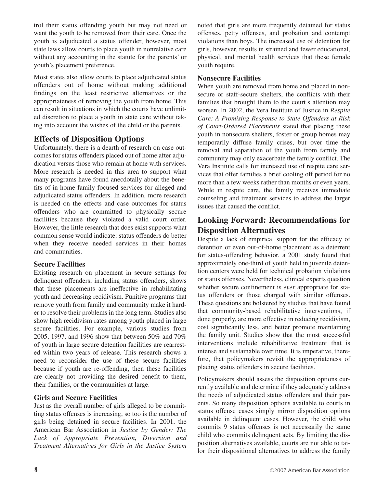trol their status offending youth but may not need or want the youth to be removed from their care. Once the youth is adjudicated a status offender, however, most state laws allow courts to place youth in nonrelative care without any accounting in the statute for the parents' or youth's placement preference.

Most states also allow courts to place adjudicated status offenders out of home without making additional findings on the least restrictive alternatives or the appropriateness of removing the youth from home. This can result in situations in which the courts have unlimited discretion to place a youth in state care without taking into account the wishes of the child or the parents.

### **Effects of Disposition Options**

Unfortunately, there is a dearth of research on case outcomes for status offenders placed out of home after adjudication versus those who remain at home with services. More research is needed in this area to support what many programs have found anecdotally about the benefits of in-home family-focused services for alleged and adjudicated status offenders. In addition, more research is needed on the effects and case outcomes for status offenders who are committed to physically secure facilities because they violated a valid court order. However, the little research that does exist supports what common sense would indicate: status offenders do better when they receive needed services in their homes and communities.

### **Secure Facilities**

Existing research on placement in secure settings for delinquent offenders, including status offenders, shows that these placements are ineffective in rehabilitating youth and decreasing recidivism. Punitive programs that remove youth from family and community make it harder to resolve their problems in the long term. Studies also show high recidivism rates among youth placed in large secure facilities. For example, various studies from 2005, 1997, and 1996 show that between 50% and 70% of youth in large secure detention facilities are rearrested within two years of release. This research shows a need to reconsider the use of these secure facilities because if youth are re-offending, then these facilities are clearly not providing the desired benefit to them, their families, or the communities at large.

### **Girls and Secure Facilities**

Just as the overall number of girls alleged to be committing status offenses is increasing, so too is the number of girls being detained in secure facilities. In 2001, the American Bar Association in *Justice by Gender: The Lack of Appropriate Prevention, Diversion and Treatment Alternatives for Girls in the Justice System*

noted that girls are more frequently detained for status offenses, petty offenses, and probation and contempt violations than boys. The increased use of detention for girls, however, results in strained and fewer educational, physical, and mental health services that these female youth require.

### **Nonsecure Facilities**

When youth are removed from home and placed in nonsecure or staff-secure shelters, the conflicts with their families that brought them to the court's attention may worsen. In 2002, the Vera Institute of Justice in *Respite Care: A Promising Response to State Offenders at Risk of Court-Ordered Placements* stated that placing these youth in nonsecure shelters, foster or group homes may temporarily diffuse family crises, but over time the removal and separation of the youth from family and community may only exacerbate the family conflict. The Vera Institute calls for increased use of respite care services that offer families a brief cooling off period for no more than a few weeks rather than months or even years. While in respite care, the family receives immediate counseling and treatment services to address the larger issues that caused the conflict.

### **Looking Forward: Recommendations for Disposition Alternatives**

Despite a lack of empirical support for the efficacy of detention or even out-of-home placement as a deterrent for status-offending behavior, a 2001 study found that approximately one-third of youth held in juvenile detention centers were held for technical probation violations or status offenses. Nevertheless, clinical experts question whether secure confinement is *ever* appropriate for status offenders or those charged with similar offenses. These questions are bolstered by studies that have found that community-based rehabilitative interventions, if done properly, are more effective in reducing recidivism, cost significantly less, and better promote maintaining the family unit. Studies show that the most successful interventions include rehabilitative treatment that is intense and sustainable over time. It is imperative, therefore, that policymakers revisit the appropriateness of placing status offenders in secure facilities.

Policymakers should assess the disposition options currently available and determine if they adequately address the needs of adjudicated status offenders and their parents. So many disposition options available to courts in status offense cases simply mirror disposition options available in delinquent cases. However, the child who commits 9 status offenses is not necessarily the same child who commits delinquent acts. By limiting the disposition alternatives available, courts are not able to tailor their dispositional alternatives to address the family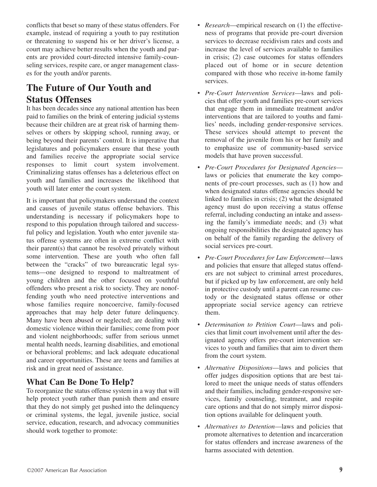conflicts that beset so many of these status offenders. For example, instead of requiring a youth to pay restitution or threatening to suspend his or her driver's license, a court may achieve better results when the youth and parents are provided court-directed intensive family-counseling services, respite care, or anger management classes for the youth and/or parents.

# **The Future of Our Youth and Status Offenses**

It has been decades since any national attention has been paid to families on the brink of entering judicial systems because their children are at great risk of harming themselves or others by skipping school, running away, or being beyond their parents' control. It is imperative that legislatures and policymakers ensure that these youth and families receive the appropriate social service responses to limit court system involvement. Criminalizing status offenses has a deleterious effect on youth and families and increases the likelihood that youth will later enter the court system.

It is important that policymakers understand the context and causes of juvenile status offense behaviors. This understanding is necessary if policymakers hope to respond to this population through tailored and successful policy and legislation. Youth who enter juvenile status offense systems are often in extreme conflict with their parent(s) that cannot be resolved privately without some intervention. These are youth who often fall between the "cracks" of two bureaucratic legal systems—one designed to respond to maltreatment of young children and the other focused on youthful offenders who present a risk to society. They are nonoffending youth who need protective interventions and whose families require noncoercive, family-focused approaches that may help deter future delinquency. Many have been abused or neglected; are dealing with domestic violence within their families; come from poor and violent neighborhoods; suffer from serious unmet mental health needs, learning disabilities, and emotional or behavioral problems; and lack adequate educational and career opportunities. These are teens and families at risk and in great need of assistance.

### **What Can Be Done To Help?**

To reorganize the status offense system in a way that will help protect youth rather than punish them and ensure that they do not simply get pushed into the delinquency or criminal systems, the legal, juvenile justice, social service, education, research, and advocacy communities should work together to promote:

- *Research*—empirical research on (1) the effectiveness of programs that provide pre-court diversion services to decrease recidivism rates and costs and increase the level of services available to families in crisis; (2) case outcomes for status offenders placed out of home or in secure detention compared with those who receive in-home family services.
- *Pre-Court Intervention Services*—laws and policies that offer youth and families pre-court services that engage them in immediate treatment and/or interventions that are tailored to youths and families' needs, including gender-responsive services. These services should attempt to prevent the removal of the juvenile from his or her family and to emphasize use of community-based service models that have proven successful.
- *Pre-Court Procedures for Designated Agencies* laws or policies that enumerate the key components of pre-court processes, such as (1) how and when designated status offense agencies should be linked to families in crisis; (2) what the designated agency must do upon receiving a status offense referral, including conducting an intake and assessing the family's immediate needs; and (3) what ongoing responsibilities the designated agency has on behalf of the family regarding the delivery of social services pre-court.
- *Pre-Court Procedures for Law Enforcement*—laws and policies that ensure that alleged status offenders are not subject to criminal arrest procedures, but if picked up by law enforcement, are only held in protective custody until a parent can resume custody or the designated status offense or other appropriate social service agency can retrieve them.
- *Determination to Petition Court*—laws and policies that limit court involvement until after the designated agency offers pre-court intervention services to youth and families that aim to divert them from the court system.
- *Alternative Dispositions*—laws and policies that offer judges disposition options that are best tailored to meet the unique needs of status offenders and their families, including gender-responsive services, family counseling, treatment, and respite care options and that do not simply mirror disposition options available for delinquent youth.
- *Alternatives to Detention*—laws and policies that promote alternatives to detention and incarceration for status offenders and increase awareness of the harms associated with detention.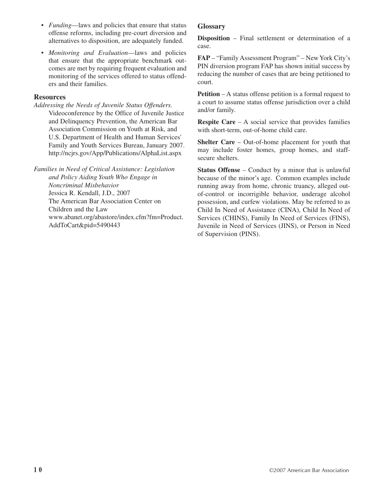- *Funding*—laws and policies that ensure that status offense reforms, including pre-court diversion and alternatives to disposition, are adequately funded.
- *Monitoring and Evaluation*—laws and policies that ensure that the appropriate benchmark outcomes are met by requiring frequent evaluation and monitoring of the services offered to status offenders and their families.

### **Resources**

*Addressing the Needs of Juvenile Status Offenders.* Videoconference by the Office of Juvenile Justice and Delinquency Prevention, the American Bar Association Commission on Youth at Risk, and U.S. Department of Health and Human Services' Family and Youth Services Bureau, January 2007. http://ncjrs.gov/App/Publications/AlphaList.aspx

*Families in Need of Critical Assistance: Legislation and Policy Aiding Youth Who Engage in Noncriminal Misbehavior* Jessica R. Kendall, J.D., 2007 The American Bar Association Center on Children and the Law www.abanet.org/abastore/index.cfm?fm=Product. AddToCart&pid=5490443

### **Glossary**

**Disposition** – Final settlement or determination of a case.

**FAP** – "Family Assessment Program" – New York City's PIN diversion program FAP has shown initial success by reducing the number of cases that are being petitioned to court.

**Petition** – A status offense petition is a formal request to a court to assume status offense jurisdiction over a child and/or family.

**Respite Care** – A social service that provides families with short-term, out-of-home child care.

**Shelter Care** – Out-of-home placement for youth that may include foster homes, group homes, and staffsecure shelters.

**Status Offense** – Conduct by a minor that is unlawful because of the minor's age. Common examples include running away from home, chronic truancy, alleged outof-control or incorrigible behavior, underage alcohol possession, and curfew violations. May be referred to as Child In Need of Assistance (CINA), Child In Need of Services (CHINS), Family In Need of Services (FINS), Juvenile in Need of Services (JINS), or Person in Need of Supervision (PINS).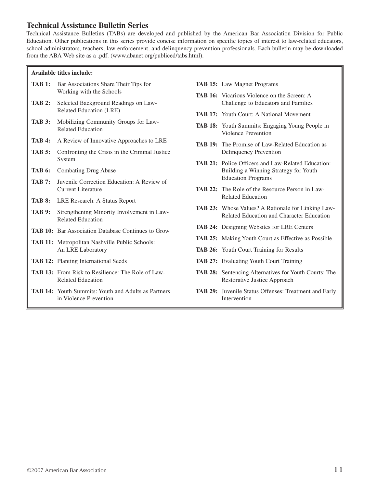### **Technical Assistance Bulletin Series**

Technical Assistance Bulletins (TABs) are developed and published by the American Bar Association Division for Public Education. Other publications in this series provide concise information on specific topics of interest to law-related educators, school administrators, teachers, law enforcement, and delinquency prevention professionals. Each bulletin may be downloaded from the ABA Web site as a .pdf. (www.abanet.org/publiced/tabs.html).

#### **Available titles include:**

| TAB 1:        | Bar Associations Share Their Tips for<br>Working with the Schools                    |
|---------------|--------------------------------------------------------------------------------------|
| <b>TAB 2:</b> | Selected Background Readings on Law-<br>Related Education (LRE)                      |
| <b>TAB 3:</b> | Mobilizing Community Groups for Law-<br><b>Related Education</b>                     |
| <b>TAB 4:</b> | A Review of Innovative Approaches to LRE                                             |
| <b>TAB 5:</b> | Confronting the Crisis in the Criminal Justice<br>System                             |
| TAB 6:        | <b>Combating Drug Abuse</b>                                                          |
| <b>TAB 7:</b> | Juvenile Correction Education: A Review of<br><b>Current Literature</b>              |
| <b>TAB 8:</b> | LRE Research: A Status Report                                                        |
| TAB 9:        | Strengthening Minority Involvement in Law-<br><b>Related Education</b>               |
|               | <b>TAB 10:</b> Bar Association Database Continues to Grow                            |
|               | <b>TAB 11:</b> Metropolitan Nashville Public Schools:<br>An LRE Laboratory           |
|               | <b>TAB 12:</b> Planting International Seeds                                          |
|               | <b>TAB 13:</b> From Risk to Resilience: The Role of Law-<br><b>Related Education</b> |
|               | <b>TAB 14:</b> Youth Summits: Youth and Adults as Partners                           |

in Violence Prevention

- **TAB 15:** Law Magnet Programs
- **TAB 16:** Vicarious Violence on the Screen: A Challenge to Educators and Families
- **TAB 17:** Youth Court: A National Movement
- **TAB 18:** Youth Summits: Engaging Young People in Violence Prevention
- **TAB 19:** The Promise of Law-Related Education as Delinquency Prevention
- **TAB 21:** Police Officers and Law-Related Education: Building a Winning Strategy for Youth Education Programs
- **TAB 22:** The Role of the Resource Person in Law-Related Education
- **TAB 23:** Whose Values? A Rationale for Linking Law-Related Education and Character Education
- **TAB 24:** Designing Websites for LRE Centers
- **TAB 25:** Making Youth Court as Effective as Possible
- **TAB 26:** Youth Court Training for Results
- **TAB 27:** Evaluating Youth Court Training
- **TAB 28:** Sentencing Alternatives for Youth Courts: The Restorative Justice Approach
- **TAB 29:** Juvenile Status Offenses: Treatment and Early Intervention